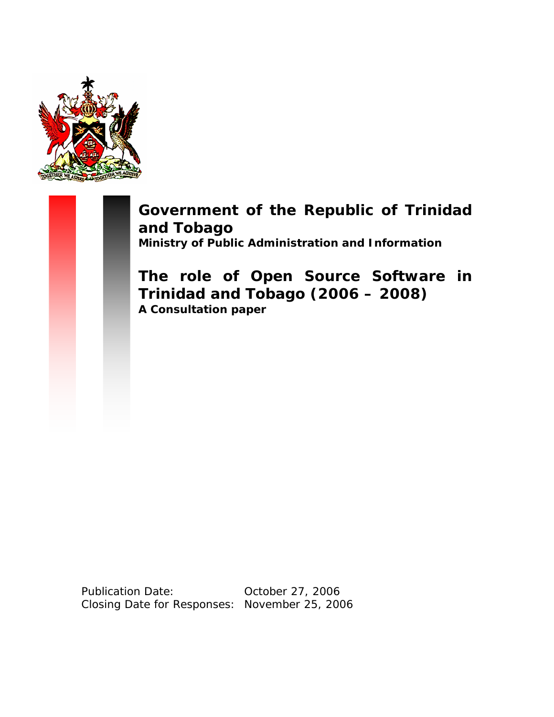

**Government of the Republic of Trinidad and Tobago Ministry of Public Administration and Information** 

**The role of Open Source Software in Trinidad and Tobago (2006 – 2008) A Consultation paper** 

Publication Date: 0ctober 27, 2006 Closing Date for Responses: November 25, 2006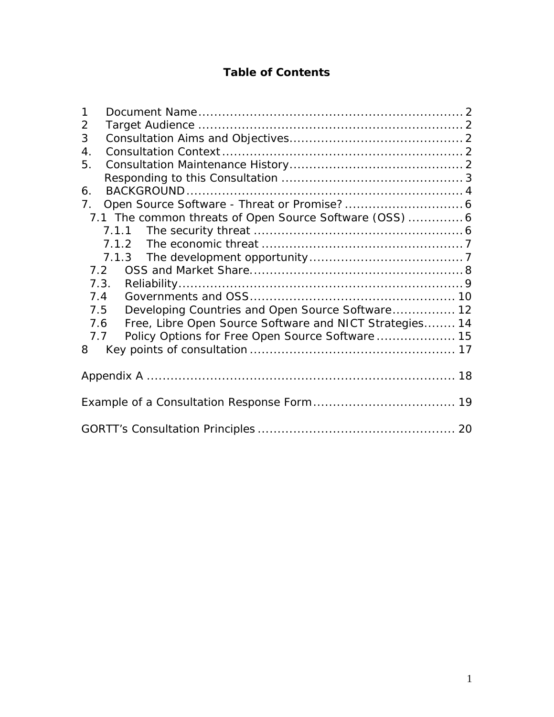# **Table of Contents**

| $\mathbf{1}$                                                   |  |  |  |
|----------------------------------------------------------------|--|--|--|
| $\overline{2}$                                                 |  |  |  |
| 3                                                              |  |  |  |
| 4.                                                             |  |  |  |
| 5.                                                             |  |  |  |
|                                                                |  |  |  |
| 6.                                                             |  |  |  |
| 7 <sub>1</sub>                                                 |  |  |  |
| 7.1 The common threats of Open Source Software (OSS)  6        |  |  |  |
|                                                                |  |  |  |
|                                                                |  |  |  |
|                                                                |  |  |  |
| 7.2                                                            |  |  |  |
| 7.3.                                                           |  |  |  |
| 7.4                                                            |  |  |  |
| Developing Countries and Open Source Software 12<br>7.5        |  |  |  |
| Free, Libre Open Source Software and NICT Strategies 14<br>7.6 |  |  |  |
| Policy Options for Free Open Source Software  15<br>7.7        |  |  |  |
| 8                                                              |  |  |  |
|                                                                |  |  |  |
|                                                                |  |  |  |
|                                                                |  |  |  |
|                                                                |  |  |  |
|                                                                |  |  |  |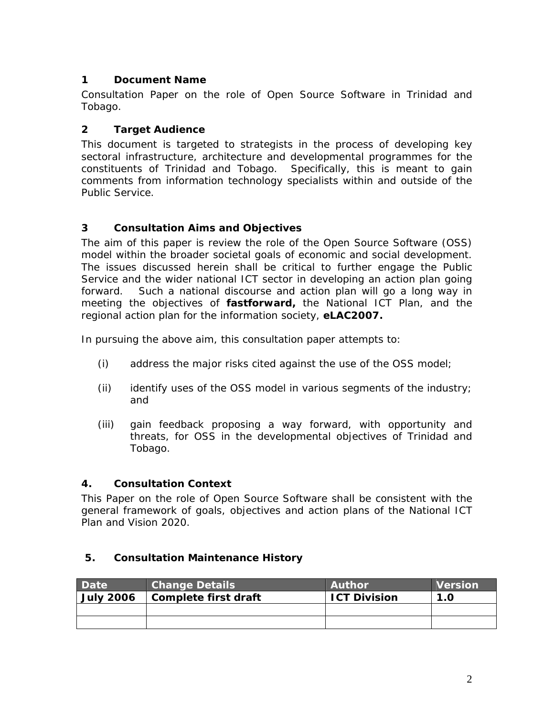## **1 Document Name**

Consultation Paper on the role of Open Source Software in Trinidad and Tobago.

## **2 Target Audience**

This document is targeted to strategists in the process of developing key sectoral infrastructure, architecture and developmental programmes for the constituents of Trinidad and Tobago. Specifically, this is meant to gain comments from information technology specialists within and outside of the Public Service.

## **3 Consultation Aims and Objectives**

The aim of this paper is review the role of the Open Source Software (OSS) model within the broader societal goals of economic and social development. The issues discussed herein shall be critical to further engage the Public Service and the wider national ICT sector in developing an action plan going forward. Such a national discourse and action plan will go a long way in meeting the objectives of *fastforward,* the National ICT Plan, and the regional action plan for the information society, **eLAC2007.** 

In pursuing the above aim, this consultation paper attempts to:

- (i) address the major risks cited against the use of the OSS model;
- (ii) identify uses of the OSS model in various segments of the industry; and
- (iii) gain feedback proposing a way forward, with opportunity and threats, for OSS in the developmental objectives of Trinidad and Tobago.

## **4. Consultation Context**

This Paper on the role of Open Source Software shall be consistent with the general framework of goals, objectives and action plans of the National ICT Plan and Vision 2020.

## **5. Consultation Maintenance History**

| <b>Date</b>      | <b>Change Details</b> | <b>Author</b>       | <b>Version</b> |
|------------------|-----------------------|---------------------|----------------|
| <b>July 2006</b> | Complete first draft  | <b>ICT Division</b> | 1.0            |
|                  |                       |                     |                |
|                  |                       |                     |                |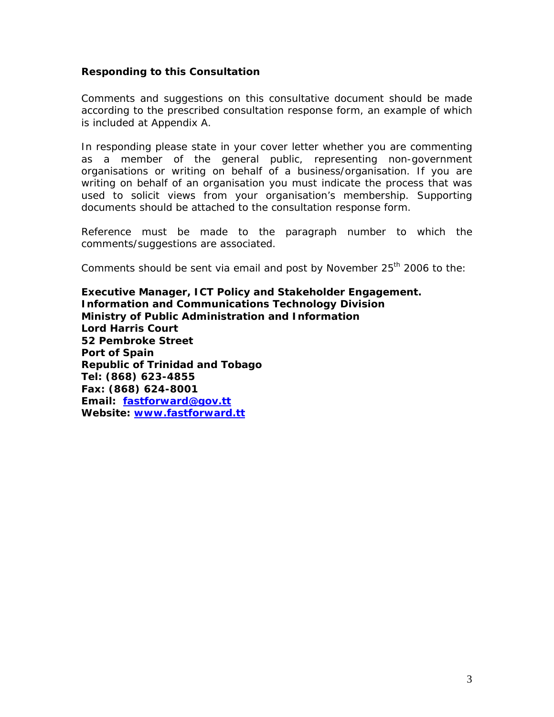### **Responding to this Consultation**

Comments and suggestions on this consultative document should be made according to the prescribed consultation response form, an example of which is included at Appendix A.

In responding please state in your cover letter whether you are commenting as a member of the general public, representing non-government organisations or writing on behalf of a business/organisation. If you are writing on behalf of an organisation you must indicate the process that was used to solicit views from your organisation's membership. Supporting documents should be attached to the consultation response form.

Reference must be made to the paragraph number to which the comments/suggestions are associated.

Comments should be sent via email and post by November 25<sup>th</sup> 2006 to the:

**Executive Manager, ICT Policy and Stakeholder Engagement. Information and Communications Technology Division Ministry of Public Administration and Information Lord Harris Court 52 Pembroke Street Port of Spain Republic of Trinidad and Tobago Tel: (868) 623-4855 Fax: (868) 624-8001 Email: fastforward@gov.tt Website: www.fastforward.tt**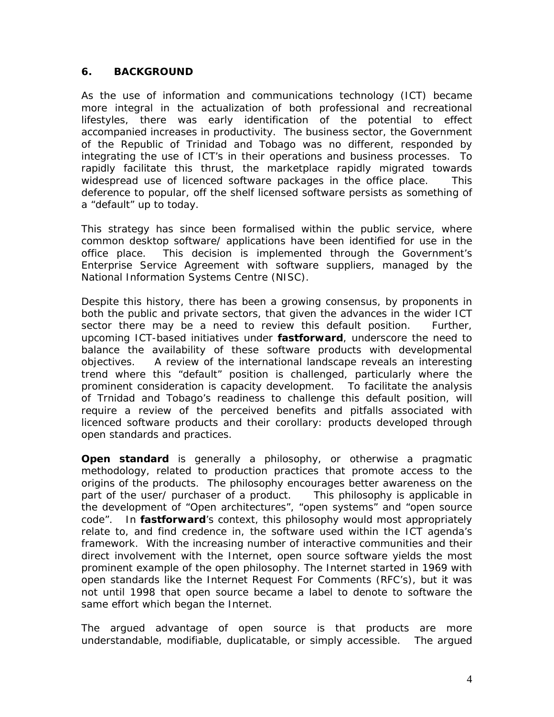### **6. BACKGROUND**

As the use of information and communications technology (ICT) became more integral in the actualization of both professional and recreational lifestyles, there was early identification of the potential to effect accompanied increases in productivity. The business sector, the Government of the Republic of Trinidad and Tobago was no different, responded by integrating the use of ICT's in their operations and business processes. To rapidly facilitate this thrust, the marketplace rapidly migrated towards widespread use of licenced software packages in the office place. This deference to popular, off the shelf licensed software persists as something of a "default" up to today.

This strategy has since been formalised within the public service, where common desktop software/ applications have been identified for use in the office place. This decision is implemented through the Government's Enterprise Service Agreement with software suppliers, managed by the National Information Systems Centre (NISC).

Despite this history, there has been a growing consensus, by proponents in both the public and private sectors, that given the advances in the wider ICT sector there may be a need to review this default position. Further, upcoming ICT-based initiatives under *fastforward*, underscore the need to balance the availability of these software products with developmental objectives. A review of the international landscape reveals an interesting trend where this "default" position is challenged, particularly where the prominent consideration is capacity development. To facilitate the analysis of Trnidad and Tobago's readiness to challenge this default position, will require a review of the perceived benefits and pitfalls associated with licenced software products and their corollary: products developed through open standards and practices.

**Open standard** is generally a philosophy, or otherwise a pragmatic methodology, related to production practices that promote access to the origins of the products. The philosophy encourages better awareness on the part of the user/ purchaser of a product. This philosophy is applicable in the development of "Open architectures", "open systems" and "open source code". In *fastforward*'s context, this philosophy would most appropriately relate to, and find credence in, the software used within the ICT agenda's framework. With the increasing number of interactive communities and their direct involvement with the Internet, open source software yields the most prominent example of the open philosophy. The Internet started in 1969 with open standards like the Internet Request For Comments (RFC's), but it was not until 1998 that open source became a label to denote to software the same effort which began the Internet.

The argued advantage of open source is that products are more understandable, modifiable, duplicatable, or simply accessible. The argued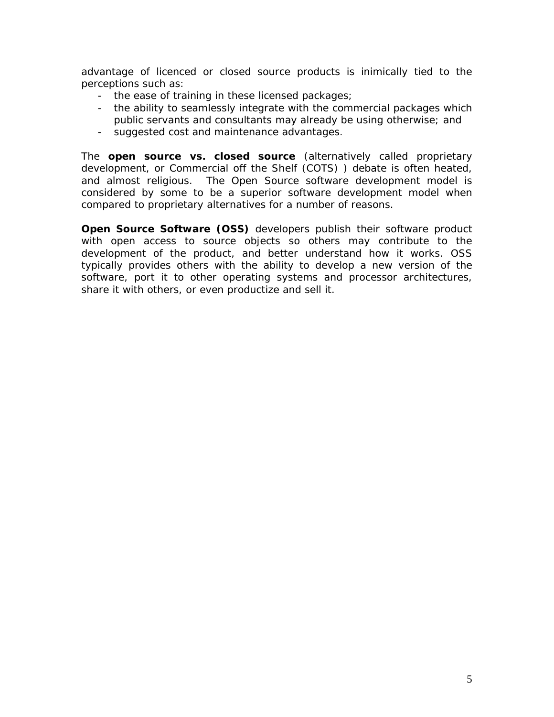advantage of licenced or closed source products is inimically tied to the perceptions such as:

- the ease of training in these licensed packages;
- the ability to seamlessly integrate with the commercial packages which public servants and consultants may already be using otherwise; and
- suggested cost and maintenance advantages.

The **open source vs. closed source** (alternatively called proprietary development, or Commercial off the Shelf (COTS) ) debate is often heated, and almost religious. The Open Source software development model is considered by some to be a superior software development model when compared to proprietary alternatives for a number of reasons.

**Open Source Software (OSS)** developers publish their software product with open access to source objects so others may contribute to the development of the product, and better understand how it works. OSS typically provides others with the ability to develop a new version of the software, port it to other operating systems and processor architectures, share it with others, or even productize and sell it.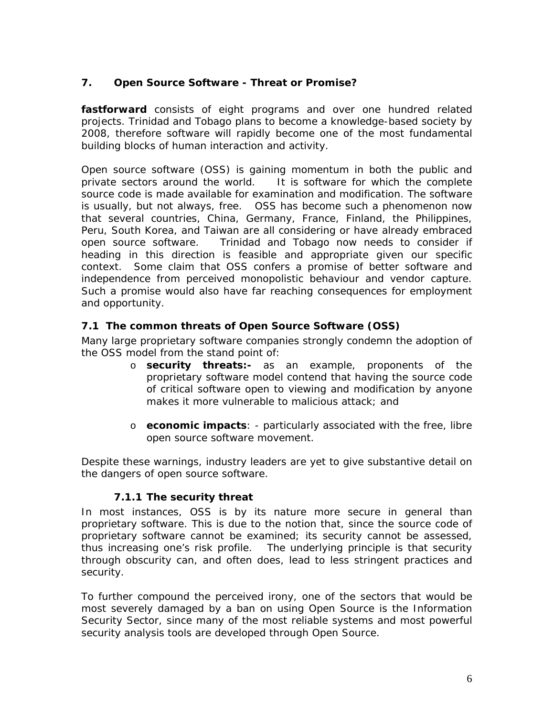## **7. Open Source Software - Threat or Promise?**

*fastforward* consists of eight programs and over one hundred related projects. Trinidad and Tobago plans to become a knowledge-based society by 2008, therefore software will rapidly become one of the most fundamental building blocks of human interaction and activity.

Open source software (OSS) is gaining momentum in both the public and private sectors around the world. It is software for which the complete source code is made available for examination and modification. The software is usually, but not always, free. OSS has become such a phenomenon now that several countries, China, Germany, France, Finland, the Philippines, Peru, South Korea, and Taiwan are all considering or have already embraced open source software. Trinidad and Tobago now needs to consider if heading in this direction is feasible and appropriate given our specific context. Some claim that OSS confers a promise of better software and independence from perceived monopolistic behaviour and vendor capture. Such a promise would also have far reaching consequences for employment and opportunity.

## **7.1 The common threats of Open Source Software (OSS)**

Many large proprietary software companies strongly condemn the adoption of the OSS model from the stand point of:

- o **security threats:-** as an example, proponents of the proprietary software model contend that having the source code of critical software open to viewing and modification by anyone makes it more vulnerable to malicious attack; and
- o **economic impacts**: particularly associated with the free, libre open source software movement.

Despite these warnings, industry leaders are yet to give substantive detail on the dangers of open source software.

## **7.1.1 The security threat**

In most instances, OSS is by its nature more secure in general than proprietary software. This is due to the notion that, since the source code of proprietary software cannot be examined; its security cannot be assessed, thus increasing one's risk profile. The underlying principle is that security through obscurity can, and often does, lead to less stringent practices and security.

To further compound the perceived irony, one of the sectors that would be most severely damaged by a ban on using Open Source is the Information Security Sector, since many of the most reliable systems and most powerful security analysis tools are developed through Open Source.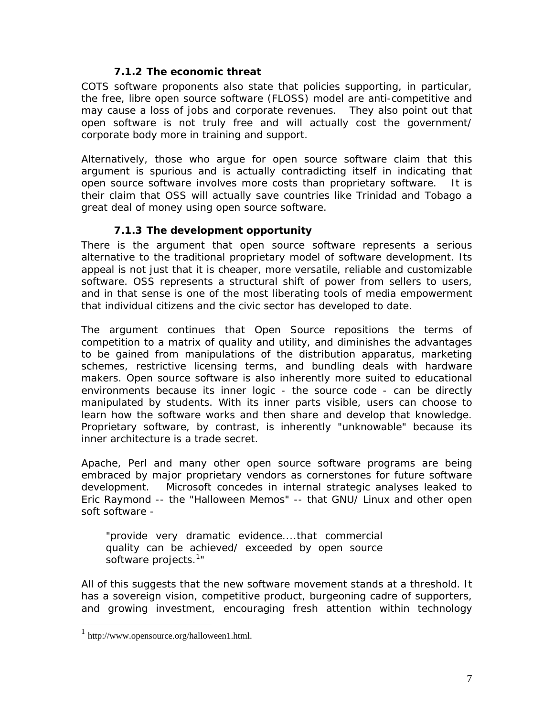### **7.1.2 The economic threat**

COTS software proponents also state that policies supporting, in particular, the free, libre open source software (FLOSS) model are anti-competitive and may cause a loss of jobs and corporate revenues. They also point out that open software is not truly free and will actually cost the government/ corporate body more in training and support.

Alternatively, those who argue for open source software claim that this argument is spurious and is actually contradicting itself in indicating that open source software involves more costs than proprietary software. It is their claim that OSS will actually save countries like Trinidad and Tobago a great deal of money using open source software.

## **7.1.3 The development opportunity**

There is the argument that open source software represents a serious alternative to the traditional proprietary model of software development. Its appeal is not just that it is cheaper, more versatile, reliable and customizable software. OSS represents a structural shift of power from sellers to users, and in that sense is one of the most liberating tools of media empowerment that individual citizens and the civic sector has developed to date.

The argument continues that Open Source repositions the terms of competition to a matrix of quality and utility, and diminishes the advantages to be gained from manipulations of the distribution apparatus, marketing schemes, restrictive licensing terms, and bundling deals with hardware makers. Open source software is also inherently more suited to educational environments because its inner logic - the source code - can be directly manipulated by students. With its inner parts visible, users can choose to learn how the software works and then share and develop that knowledge. Proprietary software, by contrast, is inherently "unknowable" because its inner architecture is a trade secret.

Apache, Perl and many other open source software programs are being embraced by major proprietary vendors as cornerstones for future software development. Microsoft concedes in internal strategic analyses leaked to Eric Raymond -- the "Halloween Memos" -- that GNU/ Linux and other open soft software -

*"provide very dramatic evidence....that commercial quality can be achieved/ exceeded by open source software projects.<sup>1</sup> "*

All of this suggests that the new software movement stands at a threshold. It has a sovereign vision, competitive product, burgeoning cadre of supporters, and growing investment, encouraging fresh attention within technology

 $\frac{1}{1}$  http://www.opensource.org/halloween1.html.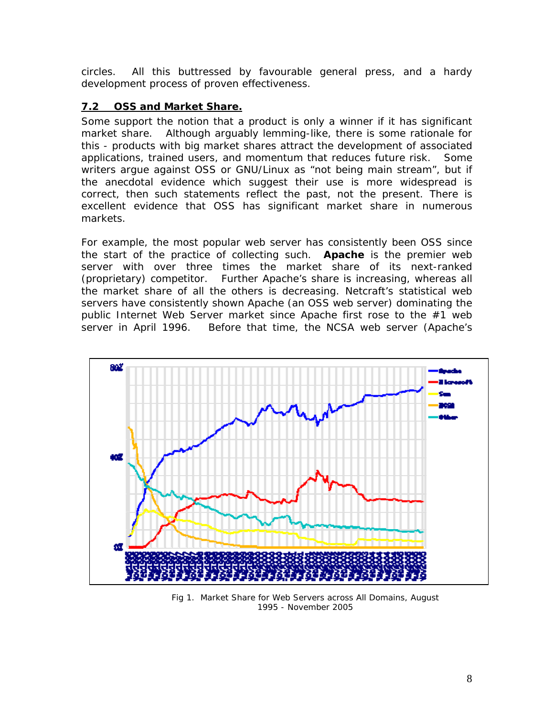circles. All this buttressed by favourable general press, and a hardy development process of proven effectiveness.

## **7.2 OSS and Market Share.**

Some support the notion that a product is only a winner if it has significant market share. Although arguably lemming-like, there is some rationale for this - products with big market shares attract the development of associated applications, trained users, and momentum that reduces future risk. Some writers argue against OSS or GNU/Linux as "not being main stream", but if the anecdotal evidence which suggest their use is more widespread is correct, then such statements reflect the past, not the present. There is excellent evidence that OSS has significant market share in numerous markets.

For example, the most popular web server has consistently been OSS since the start of the practice of collecting such. **Apache** is the premier web server with over three times the market share of its next-ranked (proprietary) competitor. Further Apache's share is increasing, whereas all the market share of all the others is decreasing. Netcraft's statistical web servers have consistently shown Apache (an OSS web server) dominating the public Internet Web Server market since Apache first rose to the #1 web server in April 1996. Before that time, the NCSA web server (Apache's



Fig 1. Market Share for Web Servers across All Domains, August 1995 - November 2005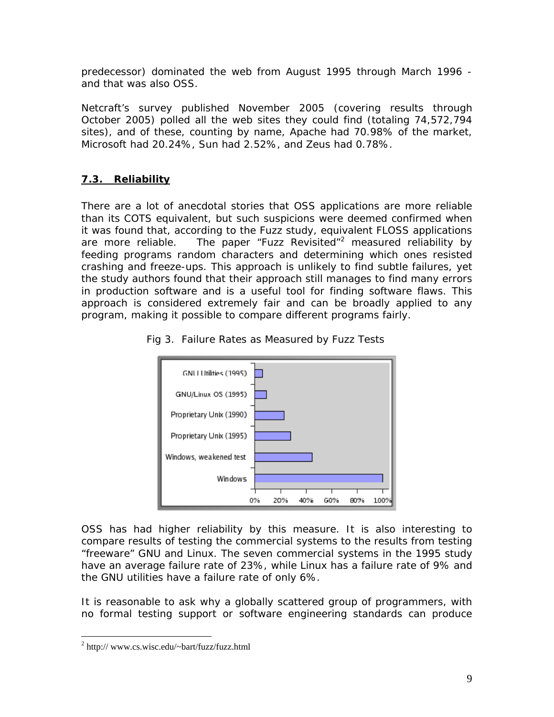predecessor) dominated the web from August 1995 through March 1996 and that was also OSS.

Netcraft's survey published November 2005 (covering results through October 2005) polled all the web sites they could find (totaling 74,572,794 sites), and of these, counting by name, Apache had 70.98% of the market, Microsoft had 20.24%, Sun had 2.52%, and Zeus had 0.78%.

## **7.3. Reliability**

There are a lot of anecdotal stories that OSS applications are more reliable than its COTS equivalent, but such suspicions were deemed confirmed when it was found that, according to the Fuzz study, equivalent FLOSS applications are more reliable.The paper "Fuzz Revisited"<sup>2</sup> measured reliability by feeding programs random characters and determining which ones resisted crashing and freeze-ups. This approach is unlikely to find subtle failures, yet the study authors found that their approach still manages to find many errors in production software and is a useful tool for finding software flaws. This approach is considered extremely fair and can be broadly applied to any program, making it possible to compare different programs fairly.





OSS has had higher reliability by this measure. It is also interesting to compare results of testing the commercial systems to the results from testing "freeware" GNU and Linux. The seven commercial systems in the 1995 study have an average failure rate of 23%, while Linux has a failure rate of 9% and the GNU utilities have a failure rate of only 6%.

It is reasonable to ask why a globally scattered group of programmers, with no formal testing support or software engineering standards can produce

<sup>&</sup>lt;sup>2</sup> http:// www.cs.wisc.edu/~bart/fuzz/fuzz.html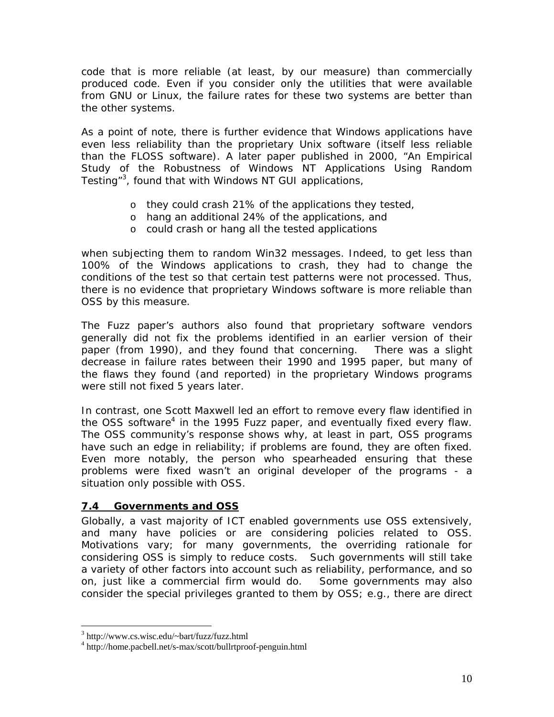code that is more reliable (at least, by our measure) than commercially produced code. Even if you consider only the utilities that were available from GNU or Linux, the failure rates for these two systems are better than the other systems.

As a point of note, there is further evidence that Windows applications have even less reliability than the proprietary Unix software (itself less reliable than the FLOSS software). A later paper published in 2000, "An Empirical Study of the Robustness of Windows NT Applications Using Random Testing"<sup>3</sup>, found that with Windows NT GUI applications,

- o they could crash 21% of the applications they tested,
- o hang an additional 24% of the applications, and
- o could crash or hang *all* the tested applications

when subjecting them to random Win32 messages. Indeed, to get less than 100% of the Windows applications to crash, they had to change the conditions of the test so that certain test patterns were not processed. Thus, there is no evidence that proprietary Windows software is more reliable than OSS by this measure.

The Fuzz paper's authors also found that proprietary software vendors generally did not fix the problems identified in an earlier version of their paper (from 1990), and they found that concerning. There was a slight decrease in failure rates between their 1990 and 1995 paper, but many of the flaws they found (and reported) in the proprietary Windows programs were still not fixed 5 years later.

In contrast, one Scott Maxwell led an effort to remove every flaw identified in the OSS software<sup>4</sup> in the 1995 Fuzz paper, and eventually fixed every flaw. The OSS community's response shows why, at least in part, OSS programs have such an edge in reliability; if problems are found, they are often fixed. Even more notably, the person who spearheaded ensuring that these problems were fixed wasn't an original developer of the programs - a situation only possible with OSS.

## **7.4 Governments and OSS**

Globally, a vast majority of ICT enabled governments use OSS extensively, and many have policies or are considering policies related to OSS. Motivations vary; for many governments, the overriding rationale for considering OSS is simply to reduce costs. Such governments will still take a variety of other factors into account such as reliability, performance, and so on, just like a commercial firm would do. Some governments may also consider the special privileges granted to them by OSS; e.g., there are direct

<sup>3</sup> http://www.cs.wisc.edu/~bart/fuzz/fuzz.html

<sup>4</sup> http://home.pacbell.net/s-max/scott/bullrtproof-penguin.html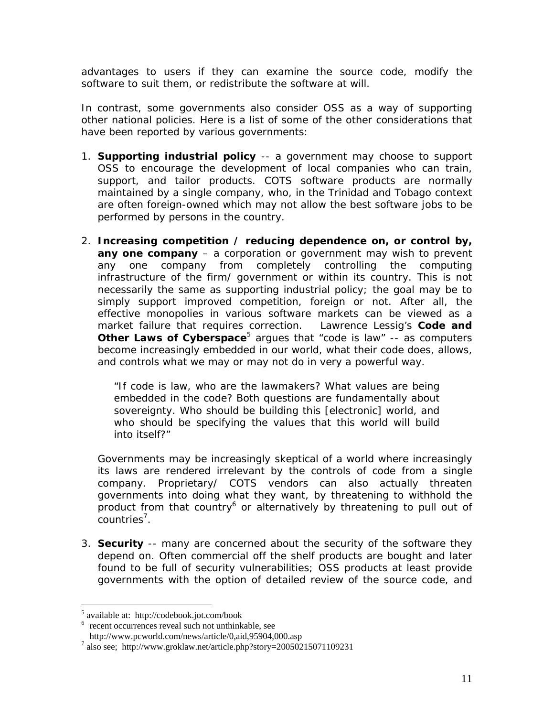advantages to users if they can examine the source code, modify the software to suit them, or redistribute the software at will.

In contrast, some governments also consider OSS as a way of supporting other national policies. Here is a list of some of the other considerations that have been reported by various governments:

- 1. **Supporting industrial policy** -- a government may choose to support OSS to encourage the development of local companies who can train, support, and tailor products. COTS software products are normally maintained by a single company, who, in the Trinidad and Tobago context are often foreign-owned which may not allow the best software jobs to be performed by persons in the country.
- 2. **Increasing competition / reducing dependence on, or control by, any one company** – a corporation or government may wish to prevent any one company from completely controlling the computing infrastructure of the firm/ government or within its country. This is not necessarily the same as supporting industrial policy; the goal may be to simply support improved competition, foreign or not. After all, the effective monopolies in various software markets can be viewed as a market failure that requires correction. Lawrence Lessig's **Code and Other Laws of Cyberspace**<sup>5</sup> argues that "code is law" -- as computers become increasingly embedded in our world, what their code does, allows, and controls what we may or may not do in very a powerful way.

*"If code is law, who are the lawmakers? What values are being embedded in the code? Both questions are fundamentally about sovereignty. Who should be building this [electronic] world, and who should be specifying the values that this world will build into itself?"* 

Governments may be increasingly skeptical of a world where increasingly its laws are rendered irrelevant by the controls of code from a single company. Proprietary/ COTS vendors can also actually threaten governments into doing what they want, by threatening to withhold the product from that country<sup>6</sup> or alternatively by threatening to pull out of countries<sup>7</sup>.

3. **Security** -- many are concerned about the security of the software they depend on. Often commercial off the shelf products are bought and later found to be full of security vulnerabilities; OSS products at least provide governments with the *option* of detailed review of the source code, and

 5 available at: http://codebook.jot.com/book

<sup>6</sup> recent occurrences reveal such not unthinkable, see

http://www.pcworld.com/news/article/0,aid,95904,000.asp 7

 $a^7$  also see; http://www.groklaw.net/article.php?story=20050215071109231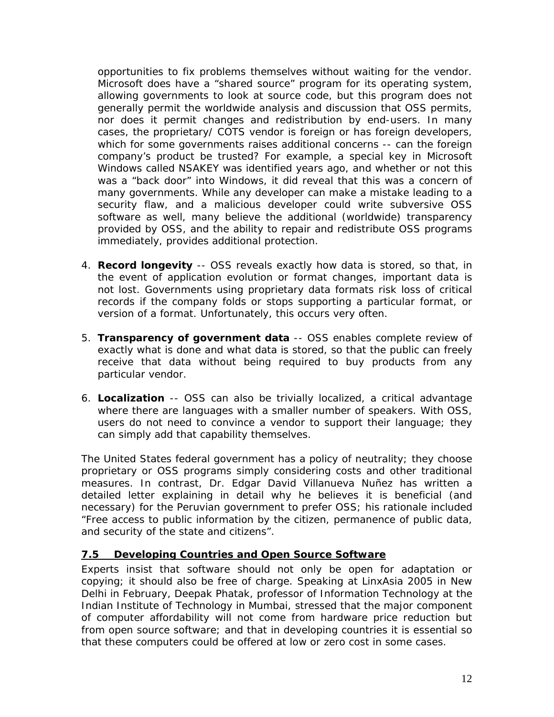opportunities to fix problems themselves without waiting for the vendor. Microsoft does have a "shared source" program for its operating system, allowing governments to look at source code, but this program does not generally permit the worldwide analysis and discussion that OSS permits, nor does it permit changes and redistribution by end-users. In many cases, the proprietary/ COTS vendor is foreign or has foreign developers, which for some governments raises additional concerns -- can the foreign company's product be trusted? For example, a special key in Microsoft Windows called NSAKEY was identified years ago, and whether or not this was a "back door" into Windows, it did reveal that this was a concern of many governments. While any developer can make a mistake leading to a security flaw, and a malicious developer could write subversive OSS software as well, many believe the additional (worldwide) transparency provided by OSS, and the ability to repair and redistribute OSS programs immediately, provides additional protection.

- 4. **Record longevity** -- OSS reveals exactly how data is stored, so that, in the event of application evolution or format changes, important data is not lost. Governments using proprietary data formats risk loss of critical records if the company folds or stops supporting a particular format, or version of a format. Unfortunately, this occurs very often.
- 5. **Transparency of government data** -- OSS enables complete review of exactly what is done and what data is stored, so that the public can freely receive that data without being required to buy products from any particular vendor.
- 6. **Localization** -- OSS can also be trivially localized, a critical advantage where there are languages with a smaller number of speakers. With OSS, users do not need to convince a vendor to support their language; they can simply add that capability themselves.

The United States federal government has a policy of neutrality; they choose proprietary or OSS programs simply considering costs and other traditional measures. In contrast, Dr. Edgar David Villanueva Nuñez has written a detailed letter explaining in detail why he believes it is beneficial (and necessary) for the Peruvian government to prefer OSS; his rationale included "Free access to public information by the citizen, permanence of public data, and security of the state and citizens".

## **7.5 Developing Countries and Open Source Software**

Experts insist that software should not only be open for adaptation or copying; it should also be free of charge. Speaking at LinxAsia 2005 in New Delhi in February, Deepak Phatak, professor of Information Technology at the Indian Institute of Technology in Mumbai, stressed that the major component of computer affordability will not come from hardware price reduction but from open source software; and that in developing countries it is essential so that these computers could be offered at low or zero cost in some cases.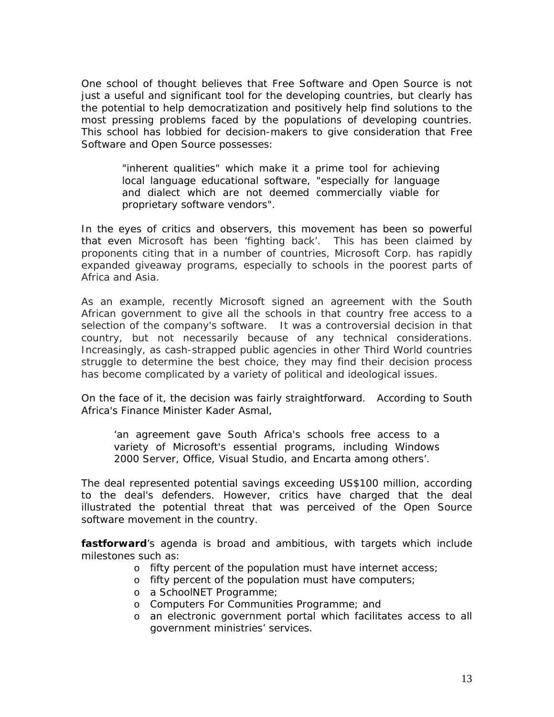One school of thought believes that Free Software and Open Source is not just a useful and significant tool for the developing countries, but clearly has the potential to help democratization and positively help find solutions to the most pressing problems faced by the populations of developing countries. This school has lobbied for decision-makers to give consideration that Free Software and Open Source possesses:

> *"inherent qualities" which make it a prime tool for achieving local language educational software, "especially for language and dialect which are not deemed commercially viable for proprietary software vendors".*

In the eyes of critics and observers, this movement has been so powerful that even Microsoft has been 'fighting back'. This has been claimed by proponents citing that in a number of countries, Microsoft Corp. has rapidly expanded giveaway programs, especially to schools in the poorest parts of Africa and Asia.

As an example, recently Microsoft signed an agreement with the South African government to give all the schools in that country free access to a selection of the company's software. It was a controversial decision in that country, but not necessarily because of any technical considerations. Increasingly, as cash-strapped public agencies in other Third World countries struggle to determine the best choice, they may find their decision process has become complicated by a variety of political and ideological issues.

On the face of it, the decision was fairly straightforward. According to South Africa's Finance Minister Kader Asmal,

*'an agreement gave South Africa's schools free access to a variety of Microsoft's essential programs, including Windows 2000 Server, Office, Visual Studio, and Encarta among others'.* 

The deal represented potential savings exceeding US\$100 million, according to the deal's defenders. However, critics have charged that the deal illustrated the potential threat that was perceived of the Open Source software movement in the country.

*fastforward*'s agenda is broad and ambitious, with targets which include milestones such as:

- o fifty percent of the population must have internet access;
- o fifty percent of the population must have computers;
- o a SchoolNET Programme;
- o Computers For Communities Programme; and
- o an electronic government portal which facilitates access to all government ministries' services.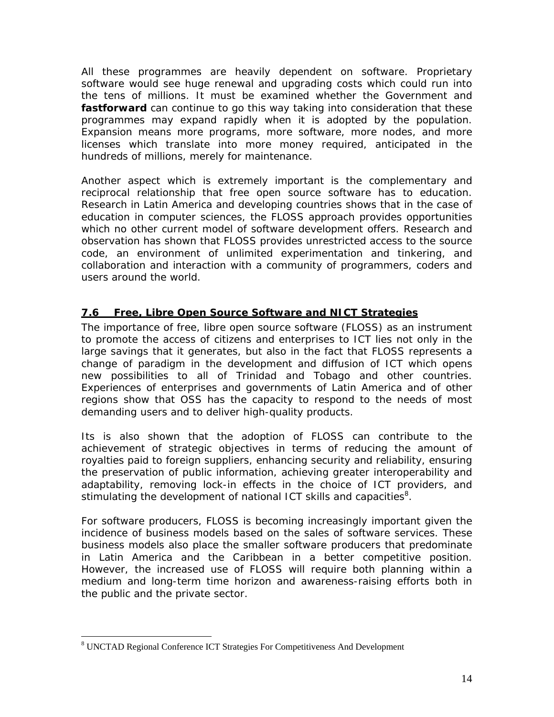All these programmes are heavily dependent on software. Proprietary software would see huge renewal and upgrading costs which could run into the tens of millions. It must be examined whether the Government and *fastforward* can continue to go this way taking into consideration that these programmes may expand rapidly when it is adopted by the population. Expansion means more programs, more software, more nodes, and more licenses which translate into more money required, anticipated in the hundreds of millions, merely for maintenance.

Another aspect which is extremely important is the complementary and reciprocal relationship that free open source software has to education. Research in Latin America and developing countries shows that in the case of education in computer sciences, the FLOSS approach provides opportunities which no other current model of software development offers. Research and observation has shown that FLOSS provides unrestricted access to the source code, an environment of unlimited experimentation and tinkering, and collaboration and interaction with a community of programmers, coders and users around the world.

## **7.6 Free, Libre Open Source Software and NICT Strategies**

The importance of free, libre open source software (FLOSS) as an instrument to promote the access of citizens and enterprises to ICT lies not only in the large savings that it generates, but also in the fact that FLOSS represents a change of paradigm in the development and diffusion of ICT which opens new possibilities to all of Trinidad and Tobago and other countries. Experiences of enterprises and governments of Latin America and of other regions show that OSS has the capacity to respond to the needs of most demanding users and to deliver high-quality products.

Its is also shown that the adoption of FLOSS can contribute to the achievement of strategic objectives in terms of reducing the amount of royalties paid to foreign suppliers, enhancing security and reliability, ensuring the preservation of public information, achieving greater interoperability and adaptability, removing lock-in effects in the choice of ICT providers, and stimulating the development of national ICT skills and capacities ${}^{8}$ .

For software producers, FLOSS is becoming increasingly important given the incidence of business models based on the sales of software services. These business models also place the smaller software producers that predominate in Latin America and the Caribbean in a better competitive position. However, the increased use of FLOSS will require both planning within a medium and long-term time horizon and awareness-raising efforts both in the public and the private sector.

<sup>&</sup>lt;sup>8</sup> UNCTAD Regional Conference ICT Strategies For Competitiveness And Development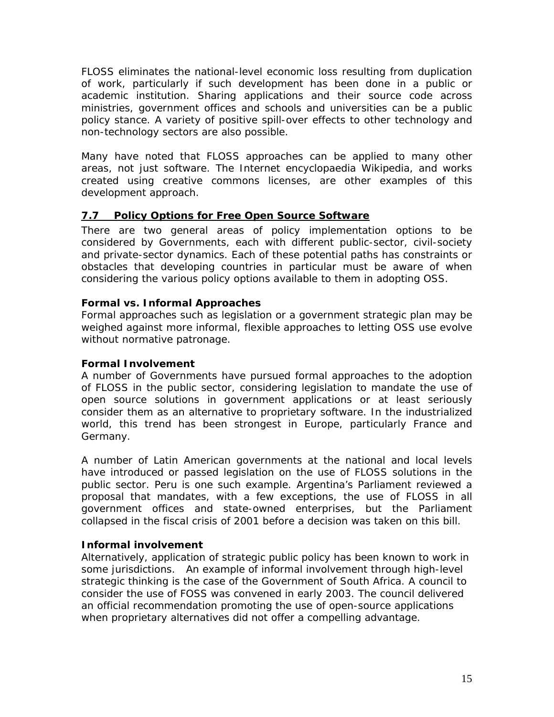FLOSS eliminates the national-level economic loss resulting from duplication of work, particularly if such development has been done in a public or academic institution. Sharing applications and their source code across ministries, government offices and schools and universities can be a public policy stance. A variety of positive spill-over effects to other technology and non-technology sectors are also possible.

Many have noted that FLOSS approaches can be applied to many other areas, not just software. The Internet encyclopaedia Wikipedia, and works created using creative commons licenses, are other examples of this development approach.

## **7.7 Policy Options for Free Open Source Software**

There are two general areas of policy implementation options to be considered by Governments, each with different public-sector, civil-society and private-sector dynamics. Each of these potential paths has constraints or obstacles that developing countries in particular must be aware of when considering the various policy options available to them in adopting OSS.

## **Formal vs. Informal Approaches**

Formal approaches such as legislation or a government strategic plan may be weighed against more informal, flexible approaches to letting OSS use evolve without normative patronage.

## **Formal Involvement**

A number of Governments have pursued formal approaches to the adoption of FLOSS in the public sector, considering legislation to mandate the use of open source solutions in government applications or at least seriously consider them as an alternative to proprietary software. In the industrialized world, this trend has been strongest in Europe, particularly France and Germany.

A number of Latin American governments at the national and local levels have introduced or passed legislation on the use of FLOSS solutions in the public sector. Peru is one such example. Argentina's Parliament reviewed a proposal that mandates, with a few exceptions, the use of FLOSS in all government offices and state-owned enterprises, but the Parliament collapsed in the fiscal crisis of 2001 before a decision was taken on this bill.

## **Informal involvement**

Alternatively, application of strategic public policy has been known to work in some jurisdictions. An example of informal involvement through high-level strategic thinking is the case of the Government of South Africa. A council to consider the use of FOSS was convened in early 2003. The council delivered an official recommendation promoting the use of open-source applications when proprietary alternatives did not offer a compelling advantage.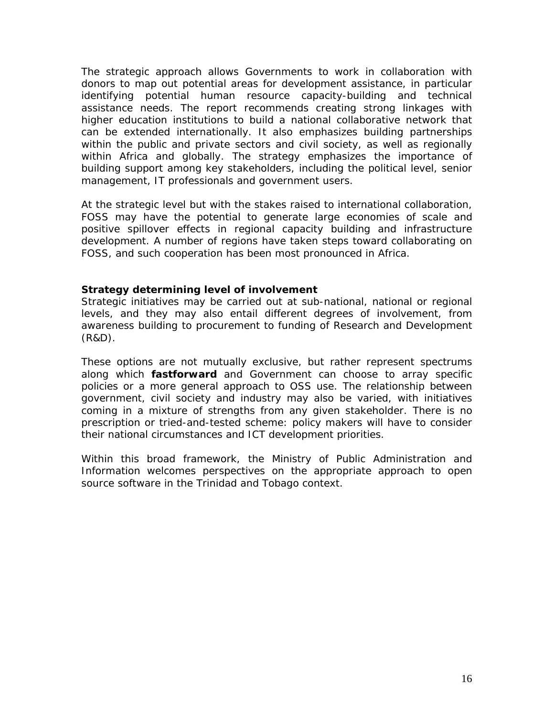The strategic approach allows Governments to work in collaboration with donors to map out potential areas for development assistance, in particular identifying potential human resource capacity-building and technical assistance needs. The report recommends creating strong linkages with higher education institutions to build a national collaborative network that can be extended internationally. It also emphasizes building partnerships within the public and private sectors and civil society, as well as regionally within Africa and globally. The strategy emphasizes the importance of building support among key stakeholders, including the political level, senior management, IT professionals and government users.

At the strategic level but with the stakes raised to international collaboration, FOSS may have the potential to generate large economies of scale and positive spillover effects in regional capacity building and infrastructure development. A number of regions have taken steps toward collaborating on FOSS, and such cooperation has been most pronounced in Africa.

#### **Strategy determining level of involvement**

Strategic initiatives may be carried out at sub-national, national or regional levels, and they may also entail different degrees of involvement, from awareness building to procurement to funding of Research and Development (R&D).

These options are not mutually exclusive, but rather represent spectrums along which *fastforward* and Government can choose to array specific policies or a more general approach to OSS use. The relationship between government, civil society and industry may also be varied, with initiatives coming in a mixture of strengths from any given stakeholder. There is no prescription or tried-and-tested scheme: policy makers will have to consider their national circumstances and ICT development priorities.

Within this broad framework, the Ministry of Public Administration and Information welcomes perspectives on the appropriate approach to open source software in the Trinidad and Tobago context.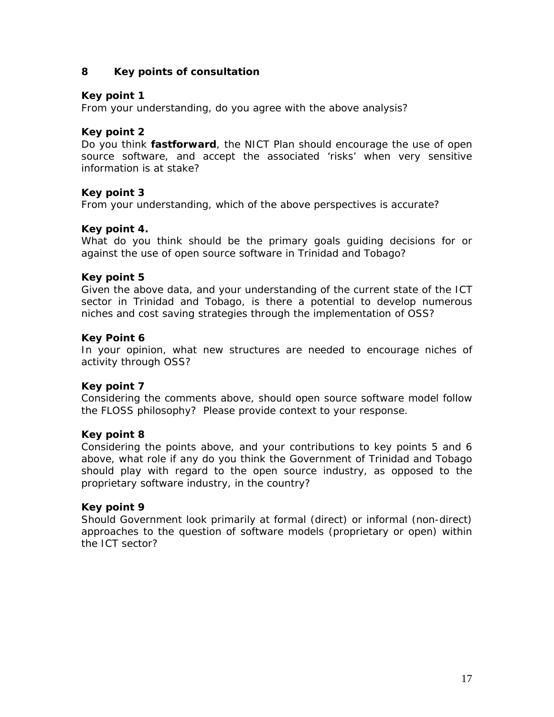### **8 Key points of consultation**

### **Key point 1**

From your understanding, do you agree with the above analysis?

### **Key point 2**

Do you think *fastforward*, the NICT Plan should encourage the use of open source software, and accept the associated 'risks' when very sensitive information is at stake?

#### **Key point 3**

From your understanding, which of the above perspectives is accurate?

#### **Key point 4.**

What do you think should be the primary goals guiding decisions for or against the use of open source software in Trinidad and Tobago?

#### **Key point 5**

Given the above data, and your understanding of the current state of the ICT sector in Trinidad and Tobago, is there a potential to develop numerous niches and cost saving strategies through the implementation of OSS?

#### **Key Point 6**

In your opinion, what new structures are needed to encourage niches of activity through OSS?

#### **Key point 7**

Considering the comments above, should open source software model follow the FLOSS philosophy? Please provide context to your response.

#### **Key point 8**

Considering the points above, and your contributions to key points 5 and 6 above, what role if any do you think the Government of Trinidad and Tobago should play with regard to the open source industry, as opposed to the proprietary software industry, in the country?

#### **Key point 9**

Should Government look primarily at formal (direct) or informal (non-direct) approaches to the question of software models (proprietary or open) within the ICT sector?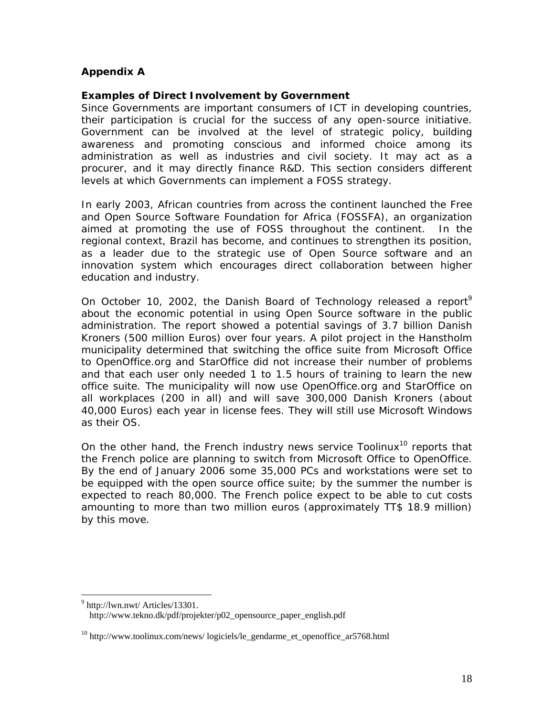### **Appendix A**

### **Examples of Direct Involvement by Government**

Since Governments are important consumers of ICT in developing countries, their participation is crucial for the success of any open-source initiative. Government can be involved at the level of strategic policy, building awareness and promoting conscious and informed choice among its administration as well as industries and civil society. It may act as a procurer, and it may directly finance R&D. This section considers different levels at which Governments can implement a FOSS strategy.

In early 2003, African countries from across the continent launched the Free and Open Source Software Foundation for Africa (FOSSFA), an organization aimed at promoting the use of FOSS throughout the continent. In the regional context, Brazil has become, and continues to strengthen its position, as a leader due to the strategic use of Open Source software and an innovation system which encourages direct collaboration between higher education and industry.

On October 10, 2002, the Danish Board of Technology released a report<sup>9</sup> about the economic potential in using Open Source software in the public administration. The report showed a potential savings of 3.7 billion Danish Kroners (500 million Euros) over four years. A pilot project in the Hanstholm municipality determined that switching the office suite from Microsoft Office to OpenOffice.org and StarOffice did not increase their number of problems and that each user only needed 1 to 1.5 hours of training to learn the new office suite. The municipality will now use OpenOffice.org and StarOffice on all workplaces (200 in all) and will save 300,000 Danish Kroners (about 40,000 Euros) each year in license fees. They will still use Microsoft Windows as their OS.

On the other hand, the French industry news service Toolinux<sup>10</sup> reports that the French police are planning to switch from Microsoft Office to OpenOffice. By the end of January 2006 some 35,000 PCs and workstations were set to be equipped with the open source office suite; by the summer the number is expected to reach 80,000. The French police expect to be able to cut costs amounting to more than two million euros (approximately TT\$ 18.9 million) by this move.

<sup>&</sup>lt;sup>9</sup> http://lwn.nwt/ Articles/13301.

http://www.tekno.dk/pdf/projekter/p02\_opensource\_paper\_english.pdf

 $10$  http://www.toolinux.com/news/ logiciels/le\_gendarme\_et\_openoffice\_ar5768.html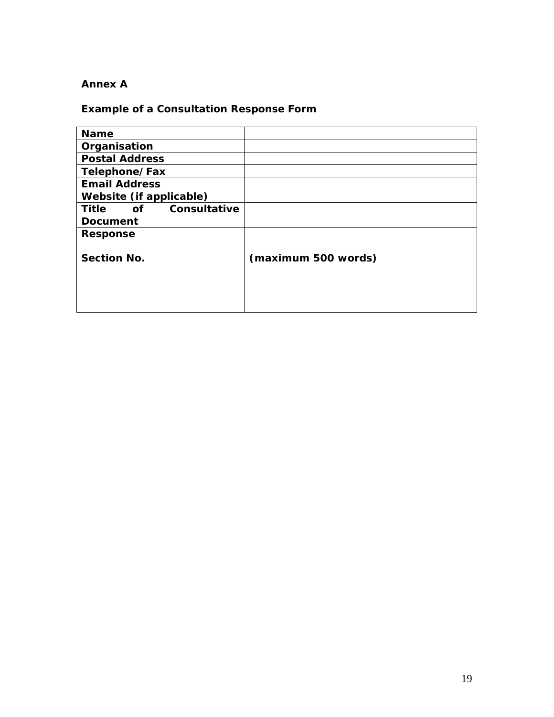## **Annex A**

# **Example of a Consultation Response Form**

| <b>Name</b>                        |                     |
|------------------------------------|---------------------|
| Organisation                       |                     |
| <b>Postal Address</b>              |                     |
| Telephone/Fax                      |                     |
| <b>Email Address</b>               |                     |
| Website (if applicable)            |                     |
| Consultative<br><b>Title</b><br>of |                     |
| <b>Document</b>                    |                     |
| <b>Response</b>                    |                     |
|                                    |                     |
| <b>Section No.</b>                 | (maximum 500 words) |
|                                    |                     |
|                                    |                     |
|                                    |                     |
|                                    |                     |